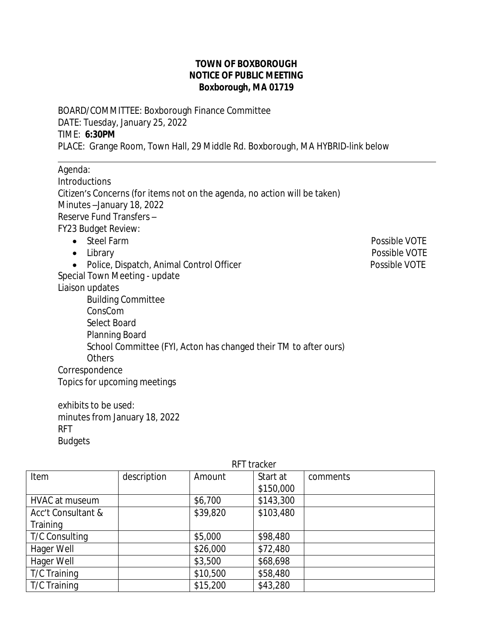## **TOWN OF BOXBOROUGH NOTICE OF PUBLIC MEETING Boxborough, MA 01719**

BOARD/COMMITTEE: Boxborough Finance Committee DATE: Tuesday, January 25, 2022 TIME: **6:30PM** PLACE: Grange Room, Town Hall, 29 Middle Rd. Boxborough, MA HYBRID-link below

 $\overline{a}$ Agenda: **Introductions** Citizen's Concerns (for items not on the agenda, no action will be taken) Minutes –January 18, 2022 Reserve Fund Transfers – FY23 Budget Review: • Steel Farm Possible VOTE Library Possible VOTE • Police, Dispatch, Animal Control Officer **Possible VOTE** Special Town Meeting - update Liaison updates Building Committee ConsCom Select Board Planning Board School Committee (FYI, Acton has changed their TM to after ours) **Others Correspondence** Topics for upcoming meetings

exhibits to be used: minutes from January 18, 2022 RFT Budgets

|                    | RFT tracker |          |           |          |  |
|--------------------|-------------|----------|-----------|----------|--|
| Item               | description | Amount   | Start at  | comments |  |
|                    |             |          | \$150,000 |          |  |
| HVAC at museum     |             | \$6,700  | \$143,300 |          |  |
| Acc't Consultant & |             | \$39,820 | \$103,480 |          |  |
| Training           |             |          |           |          |  |
| T/C Consulting     |             | \$5,000  | \$98,480  |          |  |
| Hager Well         |             | \$26,000 | \$72,480  |          |  |
| Hager Well         |             | \$3,500  | \$68,698  |          |  |
| T/C Training       |             | \$10,500 | \$58,480  |          |  |
| T/C Training       |             | \$15,200 | \$43,280  |          |  |

## RFT tracker